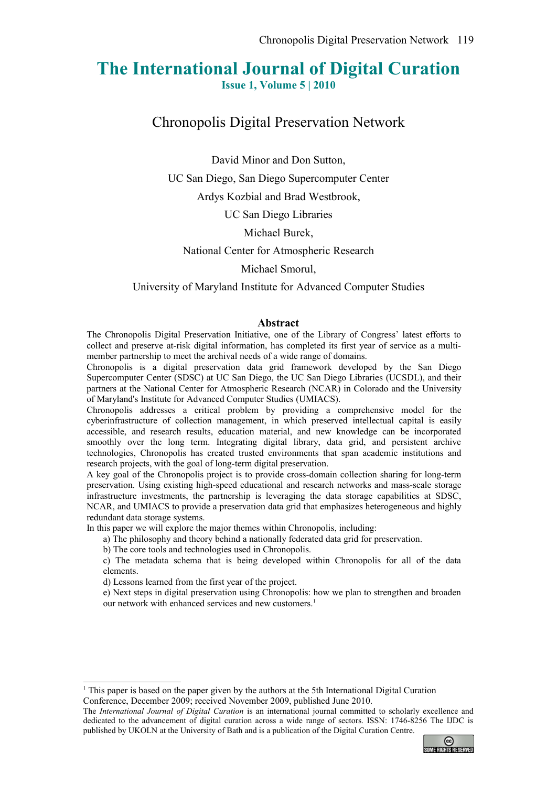# **The International Journal of Digital Curation**

**Issue 1, Volume 5 | 2010**

Chronopolis Digital Preservation Network

David Minor and Don Sutton,

UC San Diego, San Diego Supercomputer Center

Ardys Kozbial and Brad Westbrook,

UC San Diego Libraries

Michael Burek,

National Center for Atmospheric Research

Michael Smorul,

University of Maryland Institute for Advanced Computer Studies

#### **Abstract**

The Chronopolis Digital Preservation Initiative, one of the Library of Congress' latest efforts to collect and preserve at-risk digital information, has completed its first year of service as a multimember partnership to meet the archival needs of a wide range of domains.

Chronopolis is a digital preservation data grid framework developed by the San Diego Supercomputer Center (SDSC) at UC San Diego, the UC San Diego Libraries (UCSDL), and their partners at the National Center for Atmospheric Research (NCAR) in Colorado and the University of Maryland's Institute for Advanced Computer Studies (UMIACS).

Chronopolis addresses a critical problem by providing a comprehensive model for the cyberinfrastructure of collection management, in which preserved intellectual capital is easily accessible, and research results, education material, and new knowledge can be incorporated smoothly over the long term. Integrating digital library, data grid, and persistent archive technologies, Chronopolis has created trusted environments that span academic institutions and research projects, with the goal of long-term digital preservation.

A key goal of the Chronopolis project is to provide cross-domain collection sharing for long-term preservation. Using existing high-speed educational and research networks and mass-scale storage infrastructure investments, the partnership is leveraging the data storage capabilities at SDSC, NCAR, and UMIACS to provide a preservation data grid that emphasizes heterogeneous and highly redundant data storage systems.

In this paper we will explore the major themes within Chronopolis, including:

a) The philosophy and theory behind a nationally federated data grid for preservation.

b) The core tools and technologies used in Chronopolis.

c) The metadata schema that is being developed within Chronopolis for all of the data elements.

d) Lessons learned from the first year of the project.

e) Next steps in digital preservation using Chronopolis: how we plan to strengthen and broaden our network with enhanced services and new customers.<sup>[1](#page-0-0)</sup>

The *International Journal of Digital Curation* is an international journal committed to scholarly excellence and dedicated to the advancement of digital curation across a wide range of sectors. ISSN: 1746-8256 The IJDC is published by UKOLN at the University of Bath and is a publication of the Digital Curation Centre.



<span id="page-0-0"></span><sup>1</sup> This paper is based on the paper given by the authors at the 5th International Digital Curation Conference, December 2009; received November 2009, published June 2010.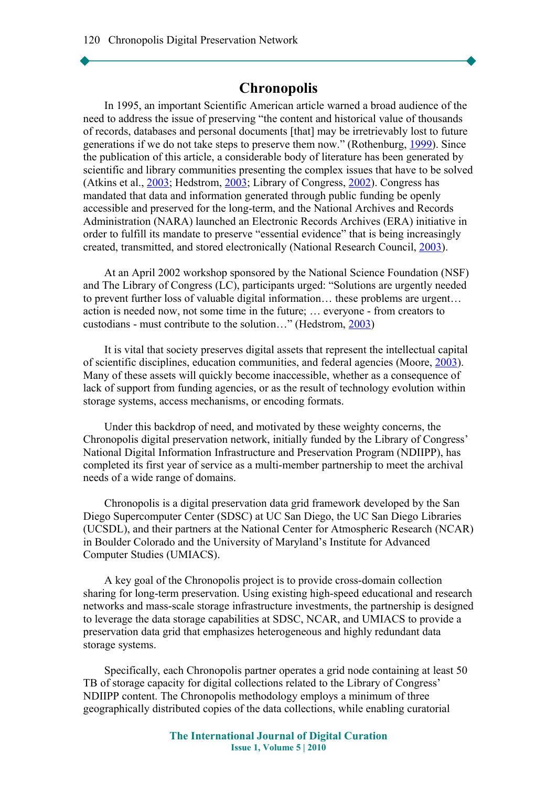# **Chronopolis**

In 1995, an important Scientific American article warned a broad audience of the need to address the issue of preserving "the content and historical value of thousands of records, databases and personal documents [that] may be irretrievably lost to future generations if we do not take steps to preserve them now." (Rothenburg, [1999\)](#page-14-0). Since the publication of this article, a considerable body of literature has been generated by scientific and library communities presenting the complex issues that have to be solved (Atkins et al., [2003;](#page-13-4) Hedstrom, [2003;](#page-13-1) Library of Congress, [2002\)](#page-13-3). Congress has mandated that data and information generated through public funding be openly accessible and preserved for the long-term, and the National Archives and Records Administration (NARA) launched an Electronic Records Archives (ERA) initiative in order to fulfill its mandate to preserve "essential evidence" that is being increasingly created, transmitted, and stored electronically (National Research Council, [2003\)](#page-13-2).

At an April 2002 workshop sponsored by the National Science Foundation (NSF) and The Library of Congress (LC), participants urged: "Solutions are urgently needed to prevent further loss of valuable digital information… these problems are urgent… action is needed now, not some time in the future; … everyone - from creators to custodians - must contribute to the solution…" (Hedstrom, [2003\)](#page-13-1)

It is vital that society preserves digital assets that represent the intellectual capital of scientific disciplines, education communities, and federal agencies (Moore, [2003\)](#page-13-0). Many of these assets will quickly become inaccessible, whether as a consequence of lack of support from funding agencies, or as the result of technology evolution within storage systems, access mechanisms, or encoding formats.

Under this backdrop of need, and motivated by these weighty concerns, the Chronopolis digital preservation network, initially funded by the Library of Congress' National Digital Information Infrastructure and Preservation Program (NDIIPP), has completed its first year of service as a multi-member partnership to meet the archival needs of a wide range of domains.

Chronopolis is a digital preservation data grid framework developed by the San Diego Supercomputer Center (SDSC) at UC San Diego, the UC San Diego Libraries (UCSDL), and their partners at the National Center for Atmospheric Research (NCAR) in Boulder Colorado and the University of Maryland's Institute for Advanced Computer Studies (UMIACS).

A key goal of the Chronopolis project is to provide cross-domain collection sharing for long-term preservation. Using existing high-speed educational and research networks and mass-scale storage infrastructure investments, the partnership is designed to leverage the data storage capabilities at SDSC, NCAR, and UMIACS to provide a preservation data grid that emphasizes heterogeneous and highly redundant data storage systems.

Specifically, each Chronopolis partner operates a grid node containing at least 50 TB of storage capacity for digital collections related to the Library of Congress' NDIIPP content. The Chronopolis methodology employs a minimum of three geographically distributed copies of the data collections, while enabling curatorial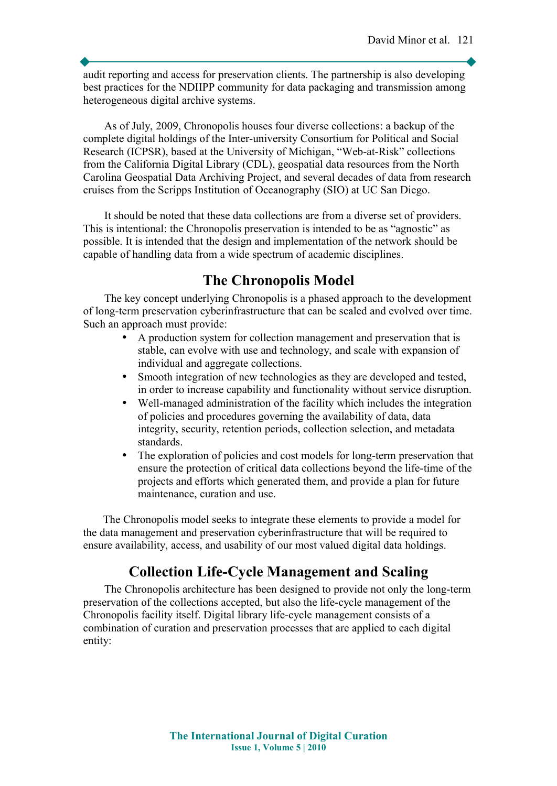audit reporting and access for preservation clients. The partnership is also developing best practices for the NDIIPP community for data packaging and transmission among heterogeneous digital archive systems.

As of July, 2009, Chronopolis houses four diverse collections: a backup of the complete digital holdings of the Inter-university Consortium for Political and Social Research (ICPSR), based at the University of Michigan, "Web-at-Risk" collections from the California Digital Library (CDL), geospatial data resources from the North Carolina Geospatial Data Archiving Project, and several decades of data from research cruises from the Scripps Institution of Oceanography (SIO) at UC San Diego.

It should be noted that these data collections are from a diverse set of providers. This is intentional: the Chronopolis preservation is intended to be as "agnostic" as possible. It is intended that the design and implementation of the network should be capable of handling data from a wide spectrum of academic disciplines.

# **The Chronopolis Model**

The key concept underlying Chronopolis is a phased approach to the development of long-term preservation cyberinfrastructure that can be scaled and evolved over time. Such an approach must provide:

- A production system for collection management and preservation that is stable, can evolve with use and technology, and scale with expansion of individual and aggregate collections.
- Smooth integration of new technologies as they are developed and tested, in order to increase capability and functionality without service disruption.
- Well-managed administration of the facility which includes the integration of policies and procedures governing the availability of data, data integrity, security, retention periods, collection selection, and metadata standards.
- The exploration of policies and cost models for long-term preservation that ensure the protection of critical data collections beyond the life-time of the projects and efforts which generated them, and provide a plan for future maintenance, curation and use.

The Chronopolis model seeks to integrate these elements to provide a model for the data management and preservation cyberinfrastructure that will be required to ensure availability, access, and usability of our most valued digital data holdings.

# **Collection Life-Cycle Management and Scaling**

The Chronopolis architecture has been designed to provide not only the long-term preservation of the collections accepted, but also the life-cycle management of the Chronopolis facility itself. Digital library life-cycle management consists of a combination of curation and preservation processes that are applied to each digital entity: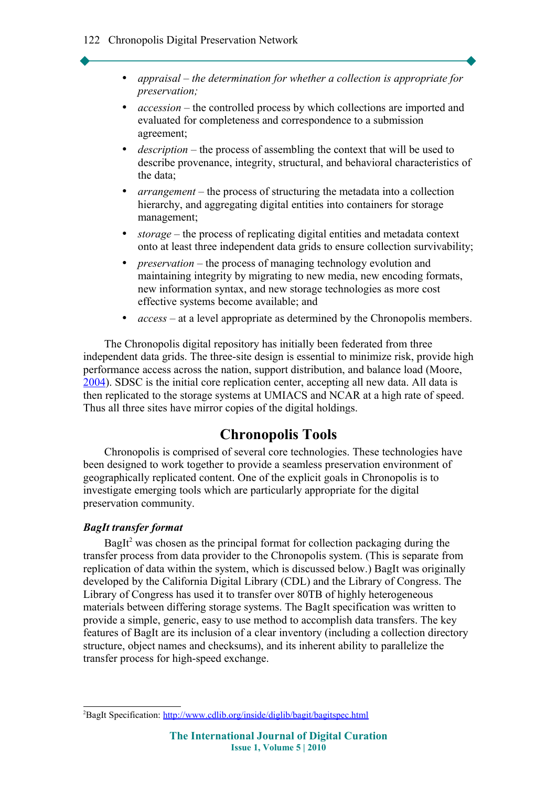- *appraisal the determination for whether a collection is appropriate for preservation;*
- *accession* the controlled process by which collections are imported and evaluated for completeness and correspondence to a submission agreement;
- *description* the process of assembling the context that will be used to describe provenance, integrity, structural, and behavioral characteristics of the data;
- *arrangement* the process of structuring the metadata into a collection hierarchy, and aggregating digital entities into containers for storage management;
- *storage* the process of replicating digital entities and metadata context onto at least three independent data grids to ensure collection survivability;
- *preservation* the process of managing technology evolution and maintaining integrity by migrating to new media, new encoding formats, new information syntax, and new storage technologies as more cost effective systems become available; and
- *access* at a level appropriate as determined by the Chronopolis members.

The Chronopolis digital repository has initially been federated from three independent data grids. The three-site design is essential to minimize risk, provide high performance access across the nation, support distribution, and balance load (Moore, [2004\)](#page-13-5). SDSC is the initial core replication center, accepting all new data. All data is then replicated to the storage systems at UMIACS and NCAR at a high rate of speed. Thus all three sites have mirror copies of the digital holdings.

### **Chronopolis Tools**

Chronopolis is comprised of several core technologies. These technologies have been designed to work together to provide a seamless preservation environment of geographically replicated content. One of the explicit goals in Chronopolis is to investigate emerging tools which are particularly appropriate for the digital preservation community.

#### *BagIt transfer format*

BagIt<sup>[2](#page-3-0)</sup> was chosen as the principal format for collection packaging during the transfer process from data provider to the Chronopolis system. (This is separate from replication of data within the system, which is discussed below.) BagIt was originally developed by the California Digital Library (CDL) and the Library of Congress. The Library of Congress has used it to transfer over 80TB of highly heterogeneous materials between differing storage systems. The BagIt specification was written to provide a simple, generic, easy to use method to accomplish data transfers. The key features of BagIt are its inclusion of a clear inventory (including a collection directory structure, object names and checksums), and its inherent ability to parallelize the transfer process for high-speed exchange.

<span id="page-3-0"></span><sup>&</sup>lt;sup>2</sup>BagIt Specification:<http://www.cdlib.org/inside/diglib/bagit/bagitspec.html>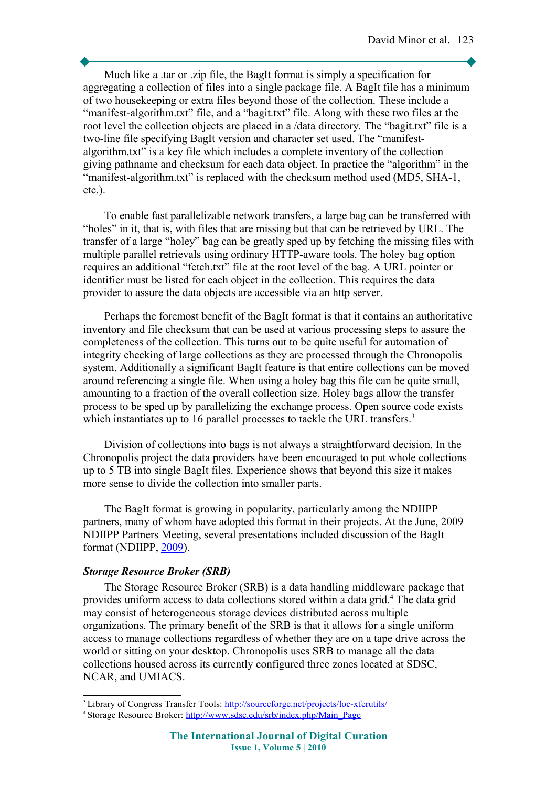Much like a .tar or .zip file, the BagIt format is simply a specification for aggregating a collection of files into a single package file. A BagIt file has a minimum of two housekeeping or extra files beyond those of the collection. These include a "manifest-algorithm.txt" file, and a "bagit.txt" file. Along with these two files at the root level the collection objects are placed in a /data directory. The "bagit.txt" file is a two-line file specifying BagIt version and character set used. The "manifestalgorithm.txt" is a key file which includes a complete inventory of the collection giving pathname and checksum for each data object. In practice the "algorithm" in the "manifest-algorithm.txt" is replaced with the checksum method used (MD5, SHA-1, etc.).

To enable fast parallelizable network transfers, a large bag can be transferred with "holes" in it, that is, with files that are missing but that can be retrieved by URL. The transfer of a large "holey" bag can be greatly sped up by fetching the missing files with multiple parallel retrievals using ordinary HTTP-aware tools. The holey bag option requires an additional "fetch.txt" file at the root level of the bag. A URL pointer or identifier must be listed for each object in the collection. This requires the data provider to assure the data objects are accessible via an http server.

Perhaps the foremost benefit of the BagIt format is that it contains an authoritative inventory and file checksum that can be used at various processing steps to assure the completeness of the collection. This turns out to be quite useful for automation of integrity checking of large collections as they are processed through the Chronopolis system. Additionally a significant BagIt feature is that entire collections can be moved around referencing a single file. When using a holey bag this file can be quite small, amounting to a fraction of the overall collection size. Holey bags allow the transfer process to be sped up by parallelizing the exchange process. Open source code exists which instantiates up to 16 parallel processes to tackle the URL transfers.<sup>[3](#page-4-0)</sup>

Division of collections into bags is not always a straightforward decision. In the Chronopolis project the data providers have been encouraged to put whole collections up to 5 TB into single BagIt files. Experience shows that beyond this size it makes more sense to divide the collection into smaller parts.

The BagIt format is growing in popularity, particularly among the NDIIPP partners, many of whom have adopted this format in their projects. At the June, 2009 NDIIPP Partners Meeting, several presentations included discussion of the BagIt format (NDIIPP, [2009\)](#page-14-1).

#### *Storage Resource Broker (SRB)*

The Storage Resource Broker (SRB) is a data handling middleware package that provides uniform access to data collections stored within a data grid.<sup>[4](#page-4-1)</sup> The data grid may consist of heterogeneous storage devices distributed across multiple organizations. The primary benefit of the SRB is that it allows for a single uniform access to manage collections regardless of whether they are on a tape drive across the world or sitting on your desktop. Chronopolis uses SRB to manage all the data collections housed across its currently configured three zones located at SDSC, NCAR, and UMIACS.

<span id="page-4-0"></span><sup>&</sup>lt;sup>3</sup> Library of Congress Transfer Tools:<http://sourceforge.net/projects/loc-xferutils/>

<span id="page-4-1"></span><sup>&</sup>lt;sup>4</sup> Storage Resource Broker: [http://www.sdsc.edu/srb/index.php/Main\\_Page](http://www.sdsc.edu/srb/index.php/Main_Page)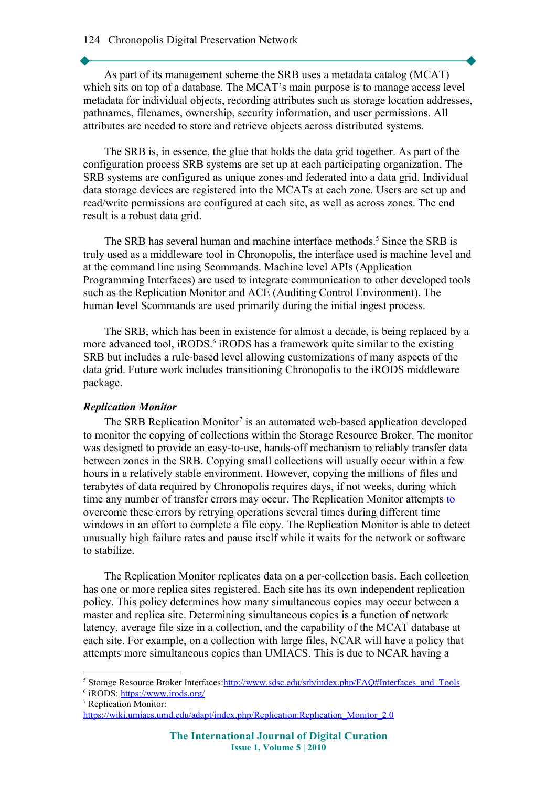#### 124 Chronopolis Digital Preservation Network

As part of its management scheme the SRB uses a metadata catalog (MCAT) which sits on top of a database. The MCAT's main purpose is to manage access level metadata for individual objects, recording attributes such as storage location addresses, pathnames, filenames, ownership, security information, and user permissions. All attributes are needed to store and retrieve objects across distributed systems.

The SRB is, in essence, the glue that holds the data grid together. As part of the configuration process SRB systems are set up at each participating organization. The SRB systems are configured as unique zones and federated into a data grid. Individual data storage devices are registered into the MCATs at each zone. Users are set up and read/write permissions are configured at each site, as well as across zones. The end result is a robust data grid.

The SRB has several human and machine interface methods.<sup>[5](#page-5-0)</sup> Since the SRB is truly used as a middleware tool in Chronopolis, the interface used is machine level and at the command line using Scommands. Machine level APIs (Application Programming Interfaces) are used to integrate communication to other developed tools such as the Replication Monitor and ACE (Auditing Control Environment). The human level Scommands are used primarily during the initial ingest process.

The SRB, which has been in existence for almost a decade, is being replaced by a more advanced tool, iRODS.<sup>[6](#page-5-1)</sup> iRODS has a framework quite similar to the existing SRB but includes a rule-based level allowing customizations of many aspects of the data grid. Future work includes transitioning Chronopolis to the iRODS middleware package.

### *Replication Monitor*

The SRB Replication Monitor<sup>[7](#page-5-2)</sup> is an automated web-based application developed to monitor the copying of collections within the Storage Resource Broker. The monitor was designed to provide an easy-to-use, hands-off mechanism to reliably transfer data between zones in the SRB. Copying small collections will usually occur within a few hours in a relatively stable environment. However, copying the millions of files and terabytes of data required by Chronopolis requires days, if not weeks, during which time any number of transfer errors may occur. The Replication Monitor attempts to overcome these errors by retrying operations several times during different time windows in an effort to complete a file copy. The Replication Monitor is able to detect unusually high failure rates and pause itself while it waits for the network or software to stabilize.

The Replication Monitor replicates data on a per-collection basis. Each collection has one or more replica sites registered. Each site has its own independent replication policy. This policy determines how many simultaneous copies may occur between a master and replica site. Determining simultaneous copies is a function of network latency, average file size in a collection, and the capability of the MCAT database at each site. For example, on a collection with large files, NCAR will have a policy that attempts more simultaneous copies than UMIACS. This is due to NCAR having a

<span id="page-5-0"></span><sup>5</sup> Storage Resource Broker Interfaces: http://www.sdsc.edu/srb/index.php/FAQ#Interfaces\_and\_Tools

<span id="page-5-1"></span><sup>6</sup> iRODS: <u>https://www.irods.org/</u>

<span id="page-5-2"></span><sup>7</sup> Replication Monitor:

https://wiki.umiacs.umd.edu/adapt/index.php/Replication:Replication\_Monitor\_2.0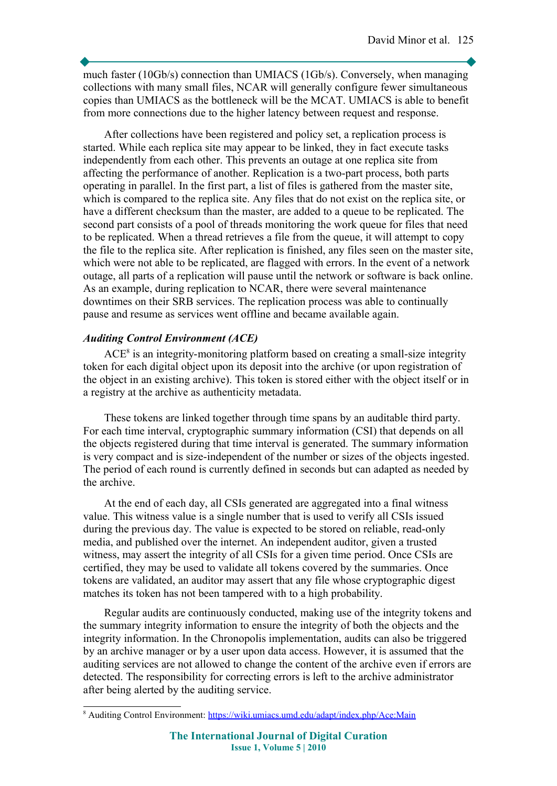much faster (10Gb/s) connection than UMIACS (1Gb/s). Conversely, when managing collections with many small files, NCAR will generally configure fewer simultaneous copies than UMIACS as the bottleneck will be the MCAT. UMIACS is able to benefit from more connections due to the higher latency between request and response.

After collections have been registered and policy set, a replication process is started. While each replica site may appear to be linked, they in fact execute tasks independently from each other. This prevents an outage at one replica site from affecting the performance of another. Replication is a two-part process, both parts operating in parallel. In the first part, a list of files is gathered from the master site, which is compared to the replica site. Any files that do not exist on the replica site, or have a different checksum than the master, are added to a queue to be replicated. The second part consists of a pool of threads monitoring the work queue for files that need to be replicated. When a thread retrieves a file from the queue, it will attempt to copy the file to the replica site. After replication is finished, any files seen on the master site, which were not able to be replicated, are flagged with errors. In the event of a network outage, all parts of a replication will pause until the network or software is back online. As an example, during replication to NCAR, there were several maintenance downtimes on their SRB services. The replication process was able to continually pause and resume as services went offline and became available again.

### *Auditing Control Environment (ACE)*

 $ACE<sup>8</sup>$  $ACE<sup>8</sup>$  $ACE<sup>8</sup>$  is an integrity-monitoring platform based on creating a small-size integrity token for each digital object upon its deposit into the archive (or upon registration of the object in an existing archive). This token is stored either with the object itself or in a registry at the archive as authenticity metadata.

These tokens are linked together through time spans by an auditable third party. For each time interval, cryptographic summary information (CSI) that depends on all the objects registered during that time interval is generated. The summary information is very compact and is size-independent of the number or sizes of the objects ingested. The period of each round is currently defined in seconds but can adapted as needed by the archive.

At the end of each day, all CSIs generated are aggregated into a final witness value. This witness value is a single number that is used to verify all CSIs issued during the previous day. The value is expected to be stored on reliable, read-only media, and published over the internet. An independent auditor, given a trusted witness, may assert the integrity of all CSIs for a given time period. Once CSIs are certified, they may be used to validate all tokens covered by the summaries. Once tokens are validated, an auditor may assert that any file whose cryptographic digest matches its token has not been tampered with to a high probability.

Regular audits are continuously conducted, making use of the integrity tokens and the summary integrity information to ensure the integrity of both the objects and the integrity information. In the Chronopolis implementation, audits can also be triggered by an archive manager or by a user upon data access. However, it is assumed that the auditing services are not allowed to change the content of the archive even if errors are detected. The responsibility for correcting errors is left to the archive administrator after being alerted by the auditing service.

<span id="page-6-0"></span><sup>&</sup>lt;sup>8</sup> Auditing Control Environment:<https://wiki.umiacs.umd.edu/adapt/index.php/Ace:Main>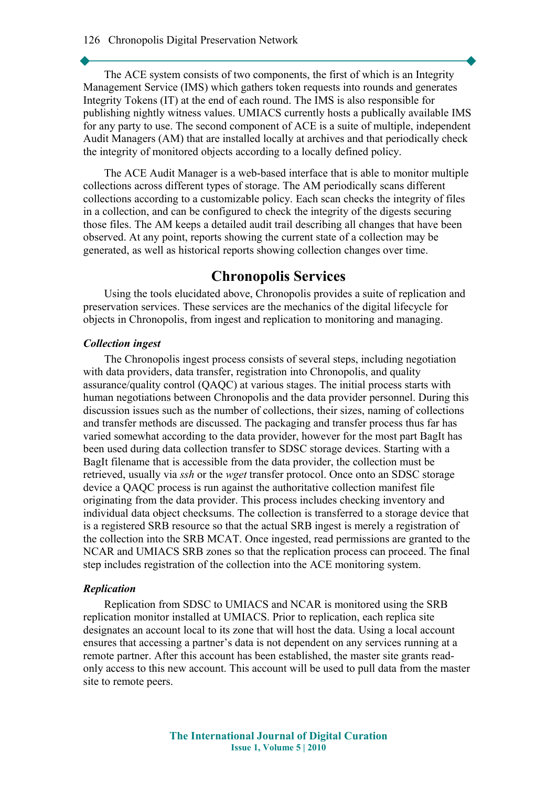The ACE system consists of two components, the first of which is an Integrity Management Service (IMS) which gathers token requests into rounds and generates Integrity Tokens (IT) at the end of each round. The IMS is also responsible for publishing nightly witness values. UMIACS currently hosts a publically available IMS for any party to use. The second component of ACE is a suite of multiple, independent Audit Managers (AM) that are installed locally at archives and that periodically check the integrity of monitored objects according to a locally defined policy.

The ACE Audit Manager is a web-based interface that is able to monitor multiple collections across different types of storage. The AM periodically scans different collections according to a customizable policy. Each scan checks the integrity of files in a collection, and can be configured to check the integrity of the digests securing those files. The AM keeps a detailed audit trail describing all changes that have been observed. At any point, reports showing the current state of a collection may be generated, as well as historical reports showing collection changes over time.

# **Chronopolis Services**

Using the tools elucidated above, Chronopolis provides a suite of replication and preservation services. These services are the mechanics of the digital lifecycle for objects in Chronopolis, from ingest and replication to monitoring and managing.

#### *Collection ingest*

The Chronopolis ingest process consists of several steps, including negotiation with data providers, data transfer, registration into Chronopolis, and quality assurance/quality control (QAQC) at various stages. The initial process starts with human negotiations between Chronopolis and the data provider personnel. During this discussion issues such as the number of collections, their sizes, naming of collections and transfer methods are discussed. The packaging and transfer process thus far has varied somewhat according to the data provider, however for the most part BagIt has been used during data collection transfer to SDSC storage devices. Starting with a BagIt filename that is accessible from the data provider, the collection must be retrieved, usually via *ssh* or the *wget* transfer protocol. Once onto an SDSC storage device a QAQC process is run against the authoritative collection manifest file originating from the data provider. This process includes checking inventory and individual data object checksums. The collection is transferred to a storage device that is a registered SRB resource so that the actual SRB ingest is merely a registration of the collection into the SRB MCAT. Once ingested, read permissions are granted to the NCAR and UMIACS SRB zones so that the replication process can proceed. The final step includes registration of the collection into the ACE monitoring system.

#### *Replication*

Replication from SDSC to UMIACS and NCAR is monitored using the SRB replication monitor installed at UMIACS. Prior to replication, each replica site designates an account local to its zone that will host the data. Using a local account ensures that accessing a partner's data is not dependent on any services running at a remote partner. After this account has been established, the master site grants readonly access to this new account. This account will be used to pull data from the master site to remote peers.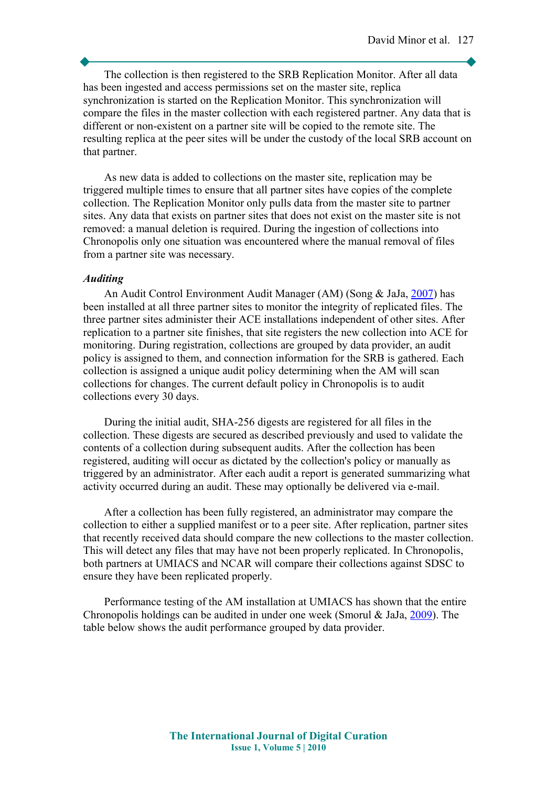The collection is then registered to the SRB Replication Monitor. After all data has been ingested and access permissions set on the master site, replica synchronization is started on the Replication Monitor. This synchronization will compare the files in the master collection with each registered partner. Any data that is different or non-existent on a partner site will be copied to the remote site. The resulting replica at the peer sites will be under the custody of the local SRB account on that partner.

As new data is added to collections on the master site, replication may be triggered multiple times to ensure that all partner sites have copies of the complete collection. The Replication Monitor only pulls data from the master site to partner sites. Any data that exists on partner sites that does not exist on the master site is not removed: a manual deletion is required. During the ingestion of collections into Chronopolis only one situation was encountered where the manual removal of files from a partner site was necessary.

#### *Auditing*

An Audit Control Environment Audit Manager (AM) (Song & JaJa, [2007\)](#page-14-3) has been installed at all three partner sites to monitor the integrity of replicated files. The three partner sites administer their ACE installations independent of other sites. After replication to a partner site finishes, that site registers the new collection into ACE for monitoring. During registration, collections are grouped by data provider, an audit policy is assigned to them, and connection information for the SRB is gathered. Each collection is assigned a unique audit policy determining when the AM will scan collections for changes. The current default policy in Chronopolis is to audit collections every 30 days.

During the initial audit, SHA-256 digests are registered for all files in the collection. These digests are secured as described previously and used to validate the contents of a collection during subsequent audits. After the collection has been registered, auditing will occur as dictated by the collection's policy or manually as triggered by an administrator. After each audit a report is generated summarizing what activity occurred during an audit. These may optionally be delivered via e-mail.

After a collection has been fully registered, an administrator may compare the collection to either a supplied manifest or to a peer site. After replication, partner sites that recently received data should compare the new collections to the master collection. This will detect any files that may have not been properly replicated. In Chronopolis, both partners at UMIACS and NCAR will compare their collections against SDSC to ensure they have been replicated properly.

Performance testing of the AM installation at UMIACS has shown that the entire Chronopolis holdings can be audited in under one week (Smorul & JaJa, [2009\)](#page-14-2). The table below shows the audit performance grouped by data provider.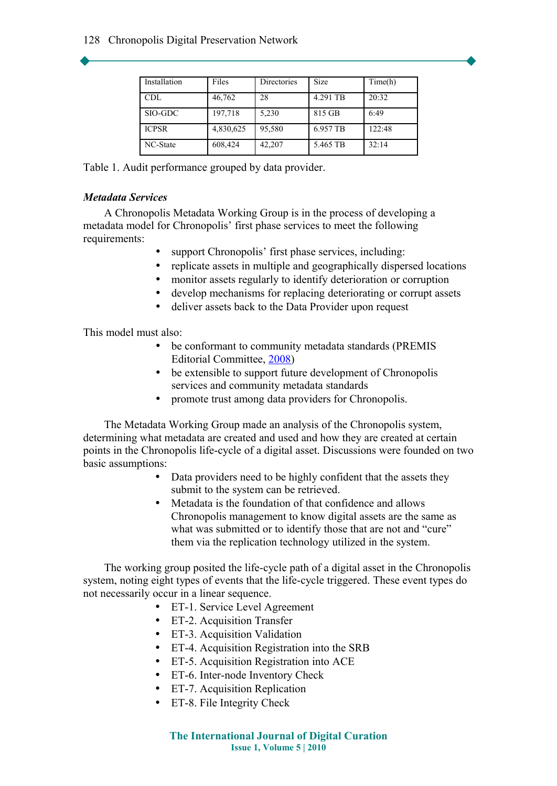| Installation | Files     | Directories | <b>Size</b> | Time(h) |
|--------------|-----------|-------------|-------------|---------|
| <b>CDL</b>   | 46,762    | 28          | 4.291 TB    | 20:32   |
| SIO-GDC      | 197,718   | 5.230       | 815 GB      | 6:49    |
| <b>ICPSR</b> | 4,830,625 | 95,580      | 6.957 TB    | 122:48  |
| NC-State     | 608,424   | 42,207      | 5.465 TB    | 32:14   |

Table 1. Audit performance grouped by data provider.

### *Metadata Services*

A Chronopolis Metadata Working Group is in the process of developing a metadata model for Chronopolis' first phase services to meet the following requirements:

- support Chronopolis' first phase services, including:
- replicate assets in multiple and geographically dispersed locations
- monitor assets regularly to identify deterioration or corruption
- develop mechanisms for replacing deteriorating or corrupt assets
- deliver assets back to the Data Provider upon request

This model must also:

- be conformant to community metadata standards (PREMIS Editorial Committee, [2008\)](#page-14-4)
- be extensible to support future development of Chronopolis services and community metadata standards
- promote trust among data providers for Chronopolis.

The Metadata Working Group made an analysis of the Chronopolis system, determining what metadata are created and used and how they are created at certain points in the Chronopolis life-cycle of a digital asset. Discussions were founded on two basic assumptions:

- Data providers need to be highly confident that the assets they submit to the system can be retrieved.
- Metadata is the foundation of that confidence and allows Chronopolis management to know digital assets are the same as what was submitted or to identify those that are not and "cure" them via the replication technology utilized in the system.

The working group posited the life-cycle path of a digital asset in the Chronopolis system, noting eight types of events that the life-cycle triggered. These event types do not necessarily occur in a linear sequence.

- ET-1. Service Level Agreement
- ET-2. Acquisition Transfer
- ET-3. Acquisition Validation
- ET-4. Acquisition Registration into the SRB
- ET-5. Acquisition Registration into ACE
- ET-6. Inter-node Inventory Check
- ET-7. Acquisition Replication
- ET-8. File Integrity Check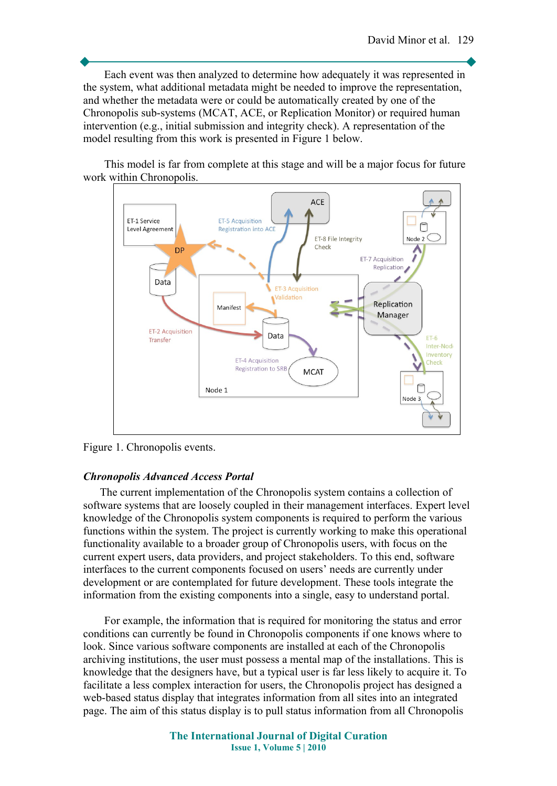Each event was then analyzed to determine how adequately it was represented in the system, what additional metadata might be needed to improve the representation, and whether the metadata were or could be automatically created by one of the Chronopolis sub-systems (MCAT, ACE, or Replication Monitor) or required human intervention (e.g., initial submission and integrity check). A representation of the model resulting from this work is presented in Figure 1 below.

This model is far from complete at this stage and will be a major focus for future work within Chronopolis.



Figure 1. Chronopolis events.

#### *Chronopolis Advanced Access Portal*

The current implementation of the Chronopolis system contains a collection of software systems that are loosely coupled in their management interfaces. Expert level knowledge of the Chronopolis system components is required to perform the various functions within the system. The project is currently working to make this operational functionality available to a broader group of Chronopolis users, with focus on the current expert users, data providers, and project stakeholders. To this end, software interfaces to the current components focused on users' needs are currently under development or are contemplated for future development. These tools integrate the information from the existing components into a single, easy to understand portal.

For example, the information that is required for monitoring the status and error conditions can currently be found in Chronopolis components if one knows where to look. Since various software components are installed at each of the Chronopolis archiving institutions, the user must possess a mental map of the installations. This is knowledge that the designers have, but a typical user is far less likely to acquire it. To facilitate a less complex interaction for users, the Chronopolis project has designed a web-based status display that integrates information from all sites into an integrated page. The aim of this status display is to pull status information from all Chronopolis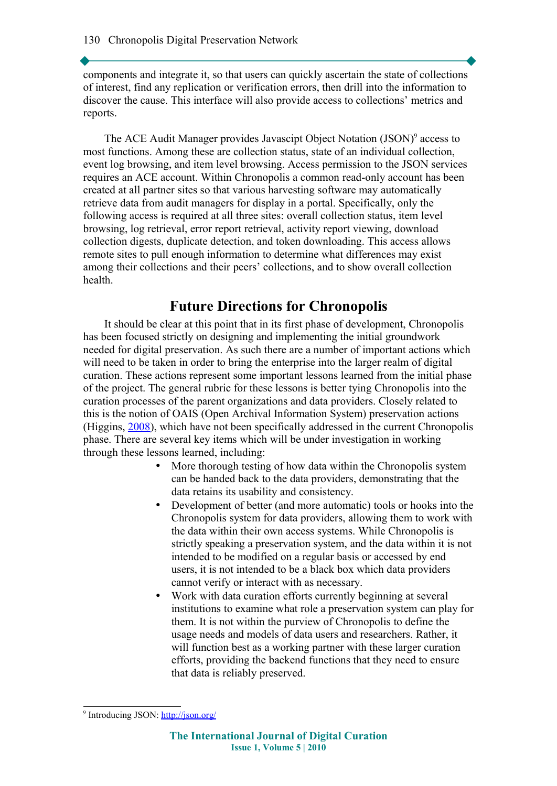components and integrate it, so that users can quickly ascertain the state of collections of interest, find any replication or verification errors, then drill into the information to discover the cause. This interface will also provide access to collections' metrics and reports.

The ACE Audit Manager provides Javascipt Object Notation (JSON)<sup>[9](#page-11-0)</sup> access to most functions. Among these are collection status, state of an individual collection, event log browsing, and item level browsing. Access permission to the JSON services requires an ACE account. Within Chronopolis a common read-only account has been created at all partner sites so that various harvesting software may automatically retrieve data from audit managers for display in a portal. Specifically, only the following access is required at all three sites: overall collection status, item level browsing, log retrieval, error report retrieval, activity report viewing, download collection digests, duplicate detection, and token downloading. This access allows remote sites to pull enough information to determine what differences may exist among their collections and their peers' collections, and to show overall collection health.

# **Future Directions for Chronopolis**

It should be clear at this point that in its first phase of development, Chronopolis has been focused strictly on designing and implementing the initial groundwork needed for digital preservation. As such there are a number of important actions which will need to be taken in order to bring the enterprise into the larger realm of digital curation. These actions represent some important lessons learned from the initial phase of the project. The general rubric for these lessons is better tying Chronopolis into the curation processes of the parent organizations and data providers. Closely related to this is the notion of OAIS (Open Archival Information System) preservation actions (Higgins, [2008\)](#page-13-6), which have not been specifically addressed in the current Chronopolis phase. There are several key items which will be under investigation in working through these lessons learned, including:

- More thorough testing of how data within the Chronopolis system can be handed back to the data providers, demonstrating that the data retains its usability and consistency.
- Development of better (and more automatic) tools or hooks into the Chronopolis system for data providers, allowing them to work with the data within their own access systems. While Chronopolis is strictly speaking a preservation system, and the data within it is not intended to be modified on a regular basis or accessed by end users, it is not intended to be a black box which data providers cannot verify or interact with as necessary.
- Work with data curation efforts currently beginning at several institutions to examine what role a preservation system can play for them. It is not within the purview of Chronopolis to define the usage needs and models of data users and researchers. Rather, it will function best as a working partner with these larger curation efforts, providing the backend functions that they need to ensure that data is reliably preserved.

<span id="page-11-0"></span><sup>&</sup>lt;sup>9</sup> Introducing JSON:<http://json.org/>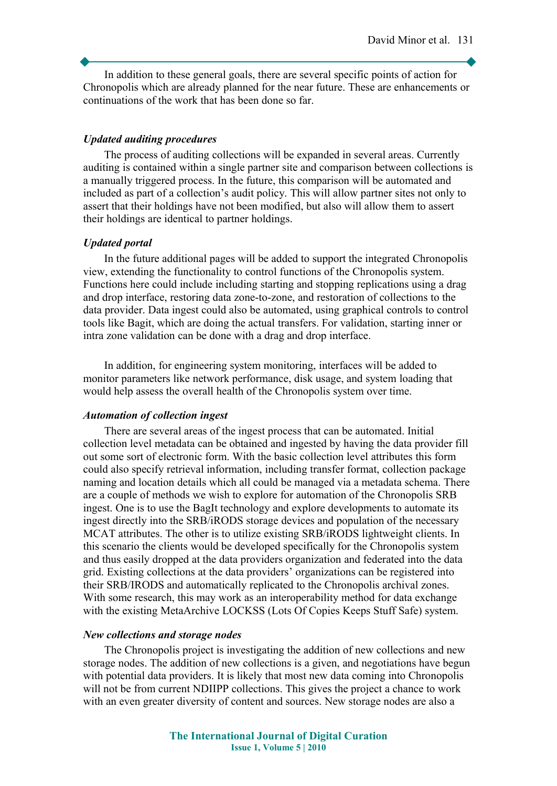In addition to these general goals, there are several specific points of action for Chronopolis which are already planned for the near future. These are enhancements or continuations of the work that has been done so far.

#### *Updated auditing procedures*

The process of auditing collections will be expanded in several areas. Currently auditing is contained within a single partner site and comparison between collections is a manually triggered process. In the future, this comparison will be automated and included as part of a collection's audit policy. This will allow partner sites not only to assert that their holdings have not been modified, but also will allow them to assert their holdings are identical to partner holdings.

#### *Updated portal*

In the future additional pages will be added to support the integrated Chronopolis view, extending the functionality to control functions of the Chronopolis system. Functions here could include including starting and stopping replications using a drag and drop interface, restoring data zone-to-zone, and restoration of collections to the data provider. Data ingest could also be automated, using graphical controls to control tools like Bagit, which are doing the actual transfers. For validation, starting inner or intra zone validation can be done with a drag and drop interface.

In addition, for engineering system monitoring, interfaces will be added to monitor parameters like network performance, disk usage, and system loading that would help assess the overall health of the Chronopolis system over time.

#### *Automation of collection ingest*

There are several areas of the ingest process that can be automated. Initial collection level metadata can be obtained and ingested by having the data provider fill out some sort of electronic form. With the basic collection level attributes this form could also specify retrieval information, including transfer format, collection package naming and location details which all could be managed via a metadata schema. There are a couple of methods we wish to explore for automation of the Chronopolis SRB ingest. One is to use the BagIt technology and explore developments to automate its ingest directly into the SRB/iRODS storage devices and population of the necessary MCAT attributes. The other is to utilize existing SRB/iRODS lightweight clients. In this scenario the clients would be developed specifically for the Chronopolis system and thus easily dropped at the data providers organization and federated into the data grid. Existing collections at the data providers' organizations can be registered into their SRB/IRODS and automatically replicated to the Chronopolis archival zones. With some research, this may work as an interoperability method for data exchange with the existing MetaArchive LOCKSS (Lots Of Copies Keeps Stuff Safe) system.

#### *New collections and storage nodes*

The Chronopolis project is investigating the addition of new collections and new storage nodes. The addition of new collections is a given, and negotiations have begun with potential data providers. It is likely that most new data coming into Chronopolis will not be from current NDIIPP collections. This gives the project a chance to work with an even greater diversity of content and sources. New storage nodes are also a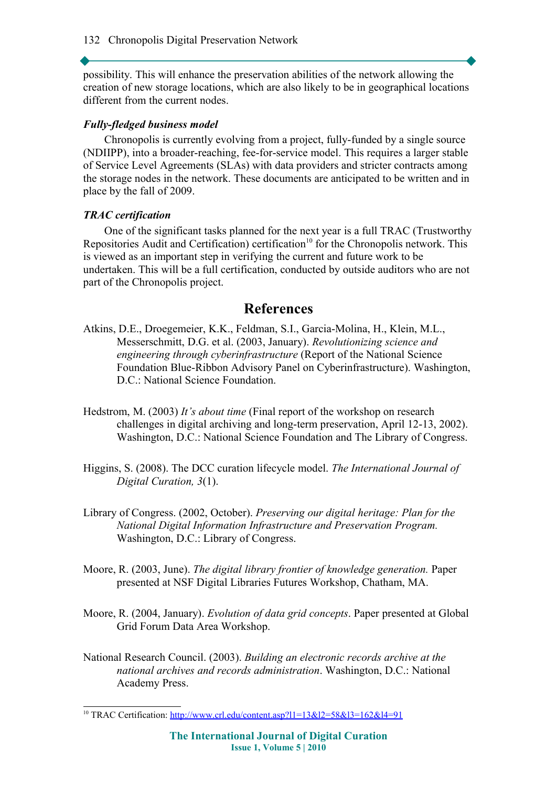possibility. This will enhance the preservation abilities of the network allowing the creation of new storage locations, which are also likely to be in geographical locations different from the current nodes.

### *Fully-fledged business model*

Chronopolis is currently evolving from a project, fully-funded by a single source (NDIIPP), into a broader-reaching, fee-for-service model. This requires a larger stable of Service Level Agreements (SLAs) with data providers and stricter contracts among the storage nodes in the network. These documents are anticipated to be written and in place by the fall of 2009.

### *TRAC certification*

One of the significant tasks planned for the next year is a full TRAC (Trustworthy Repositories Audit and Certification) certification<sup>[10](#page-13-7)</sup> for the Chronopolis network. This is viewed as an important step in verifying the current and future work to be undertaken. This will be a full certification, conducted by outside auditors who are not part of the Chronopolis project.

# **References**

- <span id="page-13-4"></span>Atkins, D.E., Droegemeier, K.K., Feldman, S.I., Garcia-Molina, H., Klein, M.L., Messerschmitt, D.G. et al. (2003, January). *Revolutionizing science and engineering through cyberinfrastructure* (Report of the National Science Foundation Blue-Ribbon Advisory Panel on Cyberinfrastructure). Washington, D.C.: National Science Foundation.
- <span id="page-13-1"></span>Hedstrom, M. (2003) *It's about time* (Final report of the workshop on research challenges in digital archiving and long-term preservation, April 12-13, 2002). Washington, D.C.: National Science Foundation and The Library of Congress.
- <span id="page-13-6"></span>Higgins, S. (2008). The DCC curation lifecycle model. *The International Journal of Digital Curation, 3*(1).
- <span id="page-13-3"></span>Library of Congress. (2002, October). *Preserving our digital heritage: Plan for the National Digital Information Infrastructure and Preservation Program.* Washington, D.C.: Library of Congress.
- <span id="page-13-0"></span>Moore, R. (2003, June). *The digital library frontier of knowledge generation.* Paper presented at NSF Digital Libraries Futures Workshop, Chatham, MA.
- <span id="page-13-5"></span>Moore, R. (2004, January). *Evolution of data grid concepts*. Paper presented at Global Grid Forum Data Area Workshop.
- <span id="page-13-2"></span>National Research Council. (2003). *Building an electronic records archive at the national archives and records administration*. Washington, D.C.: National Academy Press.

<span id="page-13-7"></span><sup>&</sup>lt;sup>10</sup> TRAC Certification:<http://www.crl.edu/content.asp?l1=13&l2=58&l3=162&l4=91>